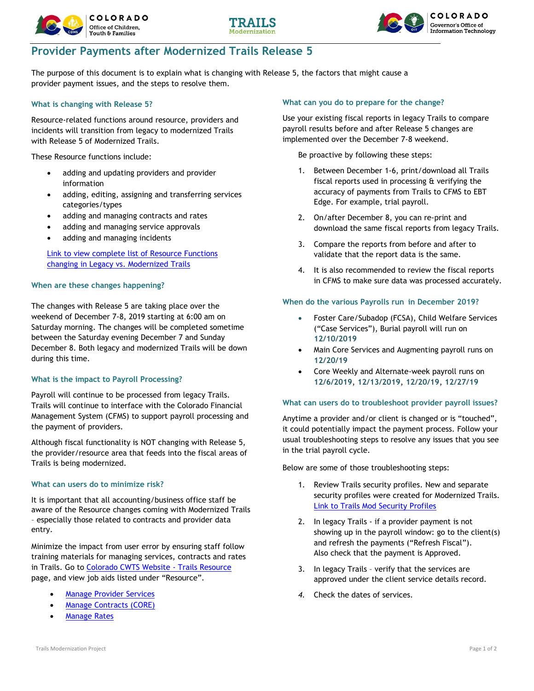





# **Provider Payments after Modernized Trails Release 5**

The purpose of this document is to explain what is changing with Release 5, the factors that might cause a provider payment issues, and the steps to resolve them.

# **What is changing with Release 5?**

Resource-related functions around resource, providers and incidents will transition from legacy to modernized Trails with Release 5 of Modernized Trails.

These Resource functions include:

- adding and updating providers and provider information
- adding, editing, assigning and transferring services categories/types
- adding and managing contracts and rates
- adding and managing service approvals
- adding and managing incidents

[Link to view complete list of Resource Functions](https://www.coloradocwts.com/trails_mod/pdf/resource/Modernized%20Trails%20-%20Resource%20-%20Legacy%20vs%20Mod%20Functions.pdf)  [changing in Legacy vs. Modernized Trails](https://www.coloradocwts.com/trails_mod/pdf/resource/Modernized%20Trails%20-%20Resource%20-%20Legacy%20vs%20Mod%20Functions.pdf)

# **When are these changes happening?**

The changes with Release 5 are taking place over the weekend of December 7-8, 2019 starting at 6:00 am on Saturday morning. The changes will be completed sometime between the Saturday evening December 7 and Sunday December 8. Both legacy and modernized Trails will be down during this time.

# **What is the impact to Payroll Processing?**

Payroll will continue to be processed from legacy Trails. Trails will continue to interface with the Colorado Financial Management System (CFMS) to support payroll processing and the payment of providers.

Although fiscal functionality is NOT changing with Release 5, the provider/resource area that feeds into the fiscal areas of Trails is being modernized.

#### **What can users do to minimize risk?**

It is important that all accounting/business office staff be aware of the Resource changes coming with Modernized Trails – especially those related to contracts and provider data entry.

Minimize the impact from user error by ensuring staff follow training materials for managing services, contracts and rates in Trails. Go to [Colorado CWTS Website -](https://coloradocwts.com/trails-resource/trails-modernization) Trails Resource page, and view job aids listed under "Resource".

- [Manage Provider Services](https://coloradocwts.com/trails_mod/pdf/resource/JA_TMResource_P204_ManageProviderService.pdf)
- **[Manage Contracts \(CORE\)](https://coloradocwts.com/trails_mod/pdf/resource/JA_P247_ManageContracts_v01.pdf)**
- **[Manage Rates](https://coloradocwts.com/trails_mod/pdf/resource/JA_P246_ManageRates_v02.pdf)**

# **What can you do to prepare for the change?**

Use your existing fiscal reports in legacy Trails to compare payroll results before and after Release 5 changes are implemented over the December 7-8 weekend.

Be proactive by following these steps:

- 1. Between December 1-6, print/download all Trails fiscal reports used in processing & verifying the accuracy of payments from Trails to CFMS to EBT Edge. For example, trial payroll.
- 2. On/after December 8, you can re-print and download the same fiscal reports from legacy Trails.
- 3. Compare the reports from before and after to validate that the report data is the same.
- 4. It is also recommended to review the fiscal reports in CFMS to make sure data was processed accurately.

#### **When do the various Payrolls run in December 2019?**

- Foster Care/Subadop (FCSA), Child Welfare Services ("Case Services"), Burial payroll will run on **12/10/2019**
- Main Core Services and Augmenting payroll runs on **12/20/19**
- Core Weekly and Alternate-week payroll runs on **12/6/2019**, **12/13/2019**, **12/20/19**, **12/27/19**

#### **What can users do to troubleshoot provider payroll issues?**

Anytime a provider and/or client is changed or is "touched", it could potentially impact the payment process. Follow your usual troubleshooting steps to resolve any issues that you see in the trial payroll cycle.

Below are some of those troubleshooting steps:

- 1. Review Trails security profiles. New and separate security profiles were created for Modernized Trails. [Link to Trails Mod Security Profiles](https://urldefense.proofpoint.com/v2/url?u=https-3A__docs.google.com_document_d_1wRk8prJ4YjenZccCQMrRc8K-5FmCxnYsxbXSetfQSzz3w_edit-3Fusp-3Dsharing&d=DwMFaQ&c=fa_WZs7nNMvOIDyLmzi2sMVHyyC4hN9WQl29lWJQ5Y4&r=MoFNwGrH_kjv5sjOYA5EkoELWMfPqLwXR4ddVU9TFUE&m=THj47x38RADuduTPWlsJq3MVPkIuulXrxwyk5U9mD6Q&s=VemZO07buRBDsRU0f_gtrldR5H01ZkOlFzvFCacct1c&e=)
- 2. In legacy Trails if a provider payment is not showing up in the payroll window: go to the client(s) and refresh the payments ("Refresh Fiscal"). Also check that the payment is Approved.
- 3. In legacy Trails verify that the services are approved under the client service details record.
- *4.* Check the dates of services.